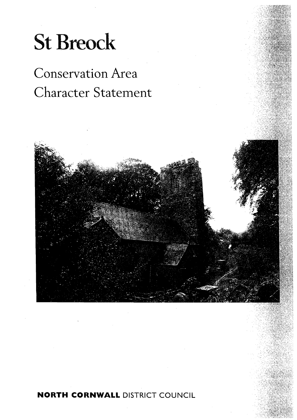# **St Breock**

## Conservation Area Character Statement



**NORTH CORNWALL** DISTRICT COUNCIL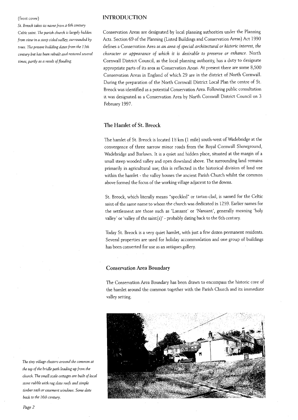#### (front cover)

*St. Breock takes its name from a 6th century Celtic saiilt. The parish chtrrch is largely hidden from vieto in a steep sided valley, surrounded by trees. The present building dates from the 13th* century but has been rebuilt and restored several *times, partly as a result of flooding.* 

#### **INTRODUCTION**

Conservation Areas are designated by local planning authorities under the Planning Acts. Section 69 of the Planning (Listed Buildings and Conservation Areas) Act 1990 defines a Conservation Area as *an area of special architectural or historic interest, the character or appearance of which it is desirable to preserve or enhance.* North Cornwall District Council, as the local planning authority, has a duty to designate appropriate parts of its area as Conservation Areas. At present there are some 8,500 Conservation Areas in England of which 29 are in the district of North Cornwall. During the preparation of the North Cornwall District Local Plan the centre of St. Breock was identified as a potential Conservation Area. Following public consultation it was designated as a Conservation Area by North Cornwall District Council on 3 February 1997.

#### **The Hamlet of St. Breock**

The hamlet of St. Breock is located 1% km (1 mile) south-west of Wadebridge at the convergence of three narrow minor roads from the Royal Cornwall Showground, Wadebridge and Burlawn. It is a quiet and hidden place, situated at the margin of a small steep wooded valley and open downland above. The surrounding land remains primarily in agricultural use; this is reflected in the historical division of land use within the hamlet - the valley houses the ancient Parish Church whilst the common above formed the focus of the working village adjacent to the downs.

St. Breock, which literally means "speckled" or tartan-clad, is named for the Celtic saint of the same name to whom the church was dedicated in 1259. Earlier names for the settlement are those such as 'Lansant' or 'Nansant', generally meaning 'holy valley' or 'valley of the saint(s)' - probably dating back to the 6th century.

Today St. Breock is a very quiet hamlet, with just a few dozen permanent residents. Several properties are used for holiday accommodation and one group of buildings has been converted for use as an antiques gallery.

#### **Conservation Area Boundary**

The Conservation Area Boundary has been drawn to encompass the historic core of the hamlet around the common together with the Parish Church and its immediate valley setting.



*The tiny village clusters arolrnd the conlrnoit at the top of the bridle path leading up from the church. The small scale cottages are built of local stone rubble with rag slate roofs and simple*   $t$ *imber sash or casement windows. Some date back to the 16th century.*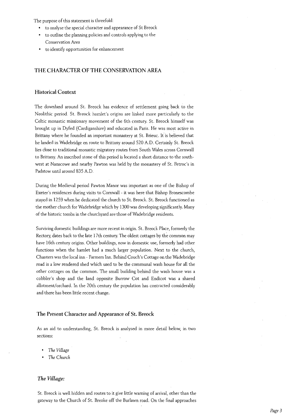The purpose of this statement is threefold:

- to analyse the special character and appearance of St Breock
- to outline the planning policies and controls applying to the Conservation Area
- to identify opportunities for enhancement

#### **THE CHARACTER OF THE CONSERVATIONAREA**

#### **Historical Context**

The downland around St. Breock has evidence of settlement going back to the Neolithic period. St. Breock hamlet's origins are linked more particularly to the Celtic monastic missionary movement of the 6th century. St. Breock himself was brought up in Dyfed (Cardiganshire) and educated in Paris. He was most active in Brittany where he founded an important monastery at St. Brieuc. It is believed that he landed in Wadebridge en route to Brittany around 520 A.D. Certainly St. Breock lies close to traditional monastic migratory routes from South Wales across Cornwall to Brittany. An inscribed stone of this period is located a short distance to the southwest at Nanscowe and nearby Pawton was held by the monastery of St. Petroc's in Padstow until around 835 A.D.

During the Medieval period Pawton Manor was important as one of the Bishop of Exeter's residences during visits to Cornwall - it was here that Bishop Bronescombe stayed in 1259 when he dedicated the church to St. Breock. St. Breock functioned as the mother church for Wadebridge which by 1300 was developing significantly. Many of the historic tombs in the churchyard are those of Wadebridge residents.

Surviving domestic buildings are more recent in origin. St. Breock Place, formerly the Rectory, dates back to the late 17th century. The oldest cottages by the common may have 16th century origins. Other buildings, now in domestic use, formerly had other functions when the hamlet had a much larger population. Next to the church, Chanters was the local inn - Farmers Inn. Behind Couch's Cottage on the Wadebridge road is a low rendered shed which used to be the communal wash house for all the other cottages on the common. The small building behind the wash house was a cobbler's shop and the land opposite Burrow Cot and Endicot was a shared allotment/orchard. In the 20th century the population has contracted considerably and there has been little recent change.

#### **The Present Character and Appearance of St. Breock**

As an aid to understanding, St. Breock is analysed in more detail below, in two sections:

- The Village
- The Church

#### *The Village:*

St. Breock is well hidden and routes to it give little warning of arrival, other than the gateway to the Church of St. Breoke off the Burlawn road. On the final approaches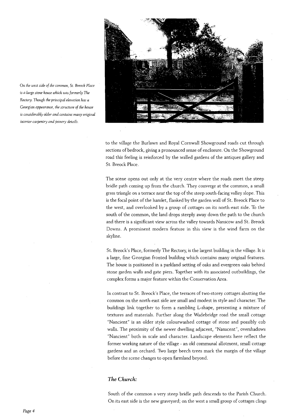

to the village the Burlawn and Royal Cornwall Showground roads cut through sections of bedrock, giving a pronounced sense of enclosure. On the Showground road this feeling is reinforced by the walled gardens of the antiques gallery and St. Breock Place.

The scene opens out only at the very centre where the roads meet the steep bridle path coming up from the church. They converge at the common, a small grass triangle on a terrace near the top of the steep south-facing valley slope. This is the focal point of the hamlet, flanked by the garden wall of St. Breock Place to the west, and overlooked by a group of cottages on its north-east side. To the south of the common, the land drops steeply away down the path to the church and there is a significant view across the valley towards Nanscow and St. Breock Downs. A prominent modern feature in this view is the wind farm on the skyline.

St. Breock's Place, formerly The Rectory, is the largest building in the village. It is a large, fine Georgian fronted building which contains many original features. The house is positioned in a parkland setting of oaks and evergreen oaks behind stone garden walls and gate piers. Together with its associated outbuildings, the complex forms a major feature within the Conservation Area.

In contrast to St. Breock's Place, the terraces of two-storey cottages abutting the common on the north-east side are small and modest in style and character. The buildings link together to form a rambling L-shape, presenting a mixture of textures and materials. Further along the Wadebridge road the small cottage "Nancient" is an older style colourwashed cottage of stone and possibly cob walls. The proximity of the newer dwelling adjacent, "Nanscent", overshadows "Nancient" both in scale and character. Landscape elements here reflect the former working nature of the village - an old communal allotment, small cottage gardens and an orchard. Two large beech trees mark the margin of the village before the scene changes to open farmland beyond.

#### *The Church:*

South of the common a very steep bridle path descends to the Parish Church. On its east side is the new graveyard; on the west a small group of cottages clings

*is a large stone house which was formerly The Rectory. Tholrgh the principal elevation has a*  Georgian appearance, the structure of the house *is considerably older and contains many original interior carpentry and joinery details.* 

*011 the west side of the conlnlon, St. Breock Place*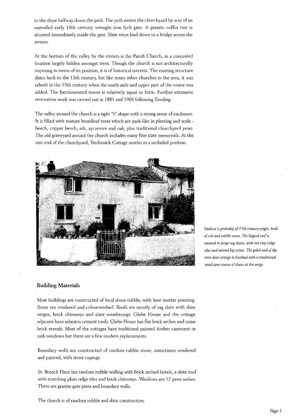to the slope halfway down the path. The path enters the churchyard by way of an unroofed early 19th century wrought iron lych gate. A granite coffin rest is situated immediately inside the gate. Slate steps lead down to a bridge across the stream.

At the bottom of the valley by the stream is the Parish Church, in a concealed location largely hidden amongst trees. Though the church is not architecturally imposing in terms of its position, it is of historical interest. The existing structure dates back to the 13th century, but like many other churches in the area, it was rebuilt in the 15th century when the south aisle and upper part of the tower was added. The battlemented tower is relatively squat in form. Further extensive restoration work was carried out in 1881 and 1966 following flooding.

The valley around the church is a tight 'V' shape with a strong sense of enclosure. It is filled with mature broadleaf trees which are park-like in planting and scale beech, copper beech, ash, sycamore and oak, plus traditional churchyard yews. The old graveyard around the church includes many fine slate memorials. At the east end of the churchyard, Tredinnick Cottage nestles in a secluded position.



*Endicot is probably of 17th century origin, btiilt of cob and rubble stone. The hipped roof is covered in large rag slates, with red clq ridge tiles and mitred hip joints. The gable end of the next door cottage is finished with a traditional wind spur course of slates at the verge.* 

#### **Building Materials**

Most buildings are constructed of local stone rubble, with lime mortar pointing. Some are rendered and colourwashed. Roofs are mostly of rag slate with slate verges, brick chimneys and slate weatherings. Glebe House and the cottage adjacent have asbestos cement roofs. Glebe House has flat brick arches and some brick reveals. Most of the cottages have traditional painted timber casement or sash windows but there are a few modern replacements.

Boundary walls are constructed of random rubble stone, sometimes rendered and painted, with stone copings.

St. Breock Place has random rubble walling with brick arched lintels, a slate roof with matching plain ridge tiles and brick chimneys. Windows are 12 pane sashes. There are granite gate piers and boundary walls.

The church is of random rubble and slate construction.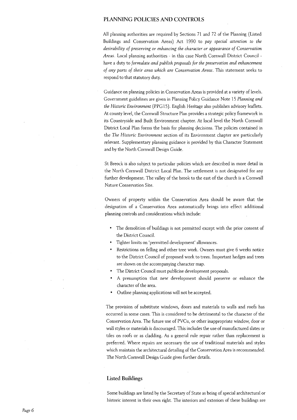#### **PLANNING POLICIES AND CONTROLS**

All planning authorities are required by Sections 71 and 72 of the Planning (Listed Buildings and Conservation Areas) Act 1990 to *pay special attention to the desirability of preserving or enhancing the character or appearance of Conservation Areas.* Local planning authorities - in this case North Cornwall District Council have a duty to *formulate and publish proposals for the preservation and enhancement of any parts of their area which are Conservation Areas.* This statement seeks to respond to that statutory duty.

Guidance on planning policies in Conservation Areas is provided at a variety of levels. Government guidelines are given in Planning Policy Guidance Note 15 *Planning and the Historic Environment* (PPG 15). English Heritage also publishes advisory leaflets. At county level, the Cornwall Structure Plan provides a strategic policy framework in its Countryside and Built Environment chapter. At local level the North Cornwall District Local Plan forms the basis for planning decisions. The policies contained in the *The Historic Environment* section of its Environment chapter are particularly relevant. Supplementary planning guidance is provided by this Character Statement and by the North Cornwall Design Guide.

St Breock is also subject to particular policies which are described in more detail in the North Cornwall District Local Plan. The settlement is not designated for any further development. The valley of the brook to the east of the church is a Cornwall Nature Conservation Site.

Owners of property within the Conservation Area should be aware that the designation of a Conservation Area automatically brings into effect additional planning controls and considerations which include:

- The demolition of buildings is not permitted except with the prior consent of the District Council.
- Tighter limits on 'permitted development' allowances.
- Restrictions on felling and other tree work. Owners must give 6 weeks notice to the District Council of proposed work to trees. Important hedges and trees are shown on the accompanying character map.
- The District Council must publicise development proposals.
- A presumption that new development should preserve or enhance the character of the area.
- Outline planning applications will not be accepted.

The provision of substitute windows, doors and materials to walls and roofs has occurred in some cases. This is considered to be detrimental to the character of the Conservation Area. The future use of PVCu, or other inappropriate window, door or wall styles or materials is discouraged. This includes the use of manufactured slates or tiles on roofs or as cladding. As a general rule repair rather than replacement is preferred. Where repairs are necessary the use of traditional materials and styles which maintain the architectural detailing of the Conservation Area is recommended. The North Cornwall Design Guide gives further details.

#### **Listed Buildings**

Some buildings are listed by the Secretary of State as being of special architectural or historic interest in their own right. The interiors and exteriors of these buildings are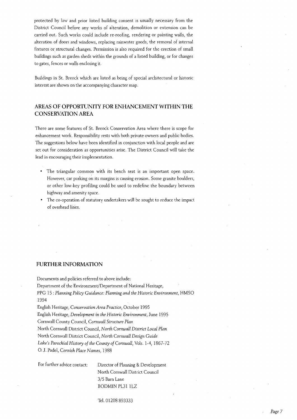protected by law and prior listed building consent is usually necessary from the District Council before any works of alteration, demolition or extension can be carried out. Such works could include re-roofing, rendering or painting walls, the alteration of doors and windows, replacing rainwater goods, the removal of internal fixtures or structural changes. Permission is also required for the erection of small buildings such as garden sheds within the grounds of a listed building, or for changes to gates, fences or walls enclosing it.

Buildings in St. Breock which are listed as being of special architectural or historic interest are shown on the accompanying character map.

#### AREAS OF OPPORTUNITY FOR ENHANCEMENT WITHIN THE CONSERVATION AREA

There are some features of St. Breock Conservation Area where there is scope for enhancement work. Responsibility rests with both private owners and public bodies. The suggestions below have been identified in conjunction with local people and are set out for consideration as opportunities arise. The District Council will take the lead in encouraging their implementation.

- The triangular common with its bench seat is an important open space. However, car parking on its margins is causing erosion. Some granite boulders, or other low-key profiling could be used to redefine the boundary between highway and amenity space.
- The co-operation of statutory undertakers will be sought to reduce the impact of overhead lines.

#### FURTHER INFORMATION

Documents and policies referred to above include: Department of the Environment/Department of National Heritage, PPG 15 : Planning Policy Guidance: Planning and the Historic Environment, HMSO 1994 English Heritage, Conservation Area Practice, October 1995 English Heritage, Development in the Historic Environment, June 1995 Cornwall County Council, Cornwall Structure Plan North Cornwall District Council, North Cornwall District Local Plan North Cornwall District Council, North Cornwall Design Guide Lake's Parochial History of the County of Cornwall, Vols. 1-4, 1867-72 0. J. Padel, Cornish Place Names, 1988

For further advice contact: Director of Planning & Development North Cornwall District Council 3/5 Barn Lane BODMIN PL31 1LZ

Tel. 01208 893333